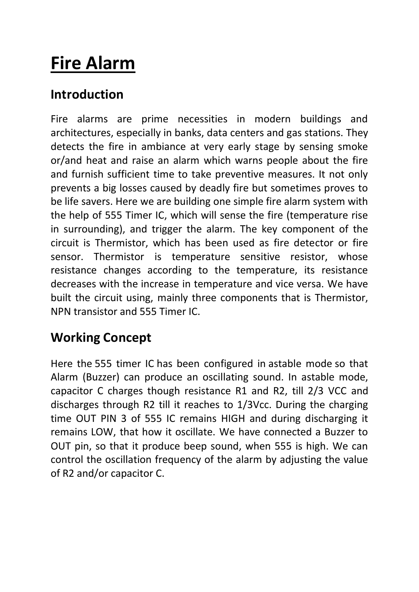# **Fire Alarm**

## **Introduction**

Fire alarms are prime necessities in modern buildings and architectures, especially in banks, data centers and gas stations. They detects the fire in ambiance at very early stage by sensing smoke or/and heat and raise an alarm which warns people about the fire and furnish sufficient time to take preventive measures. It not only prevents a big losses caused by deadly fire but sometimes proves to be life savers. Here we are building one simple fire alarm system with the help of 555 Timer IC, which will sense the fire (temperature rise in surrounding), and trigger the alarm. The key component of the circuit is Thermistor, which has been used as fire detector or fire sensor. Thermistor is temperature sensitive resistor, whose resistance changes according to the temperature, its resistance decreases with the increase in temperature and vice versa. We have built the circuit using, mainly three components that is Thermistor, NPN transistor and 555 Timer IC.

#### **Working Concept**

Here the [555 timer IC](https://circuitdigest.com/article/555-timer-ic) has been configured in [astable mode](https://circuitdigest.com/electronic-circuits/555-timer-astable-multivibrator-circuit-diagram) so that Alarm (Buzzer) can produce an oscillating sound. In astable mode, capacitor C charges though resistance R1 and R2, till 2/3 VCC and discharges through R2 till it reaches to 1/3Vcc. During the charging time OUT PIN 3 of 555 IC remains HIGH and during discharging it remains LOW, that how it oscillate. We have connected a Buzzer to OUT pin, so that it produce beep sound, when 555 is high. We can control the oscillation frequency of the alarm by adjusting the value of R2 and/or capacitor C.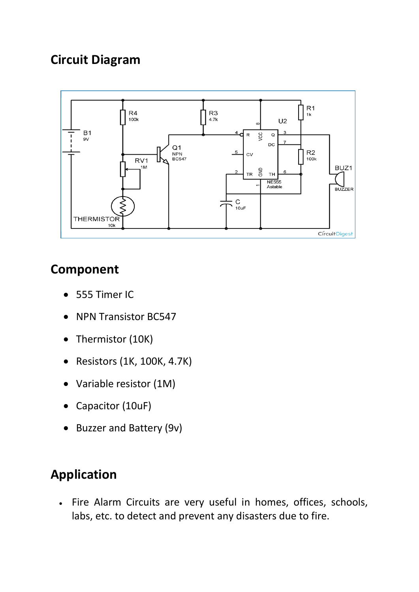### **Circuit Diagram**



## **Component**

- 555 Timer IC
- NPN Transistor BC547
- Thermistor (10K)
- Resistors (1K, 100K, 4.7K)
- Variable resistor (1M)
- Capacitor (10uF)
- Buzzer and Battery (9v)

## **Application**

 Fire Alarm Circuits are very useful in homes, offices, schools, labs, etc. to detect and prevent any disasters due to fire.